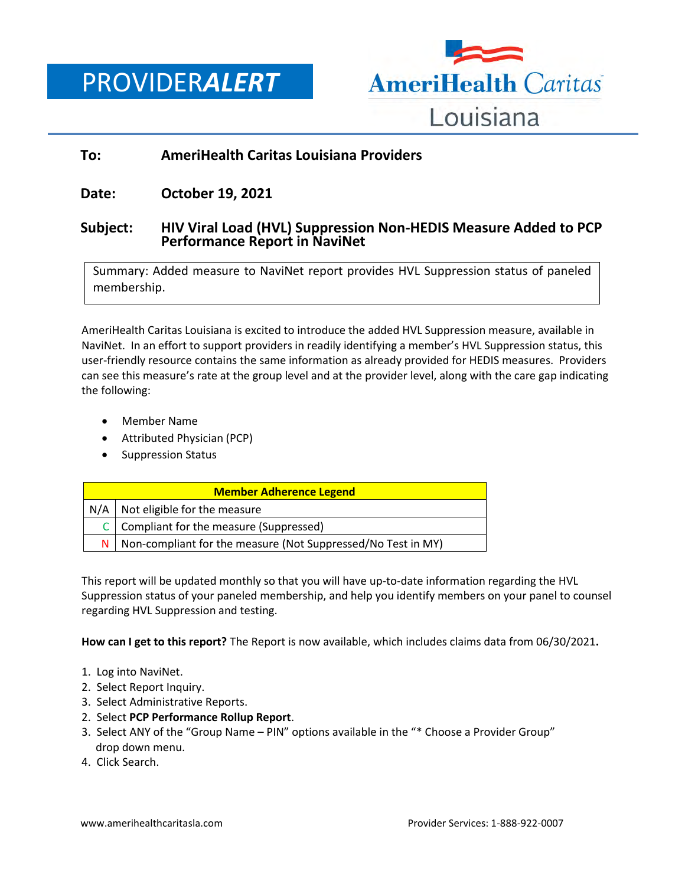PROVIDER*ALERT*



# **To: AmeriHealth Caritas Louisiana Providers**

## **Date: October 19, 2021**

## **Subject: HIV Viral Load (HVL) Suppression Non-HEDIS Measure Added to PCP Performance Report in NaviNet**

Summary: Added measure to NaviNet report provides HVL Suppression status of paneled membership.

AmeriHealth Caritas Louisiana is excited to introduce the added HVL Suppression measure, available in NaviNet. In an effort to support providers in readily identifying a member's HVL Suppression status, this user-friendly resource contains the same information as already provided for HEDIS measures. Providers can see this measure's rate at the group level and at the provider level, along with the care gap indicating the following:

- Member Name
- Attributed Physician (PCP)
- Suppression Status

| <b>Member Adherence Legend</b> |                                                              |
|--------------------------------|--------------------------------------------------------------|
|                                | $N/A$ Not eligible for the measure                           |
| C I                            | Compliant for the measure (Suppressed)                       |
| ΝI                             | Non-compliant for the measure (Not Suppressed/No Test in MY) |

This report will be updated monthly so that you will have up-to-date information regarding the HVL Suppression status of your paneled membership, and help you identify members on your panel to counsel regarding HVL Suppression and testing.

**How can I get to this report?** The Report is now available, which includes claims data from 06/30/2021**.** 

- 1. Log into NaviNet.
- 2. Select Report Inquiry.
- 3. Select Administrative Reports.
- 2. Select **PCP Performance Rollup Report**.
- 3. Select ANY of the "Group Name PIN" options available in the "\* Choose a Provider Group" drop down menu.
- 4. Click Search.